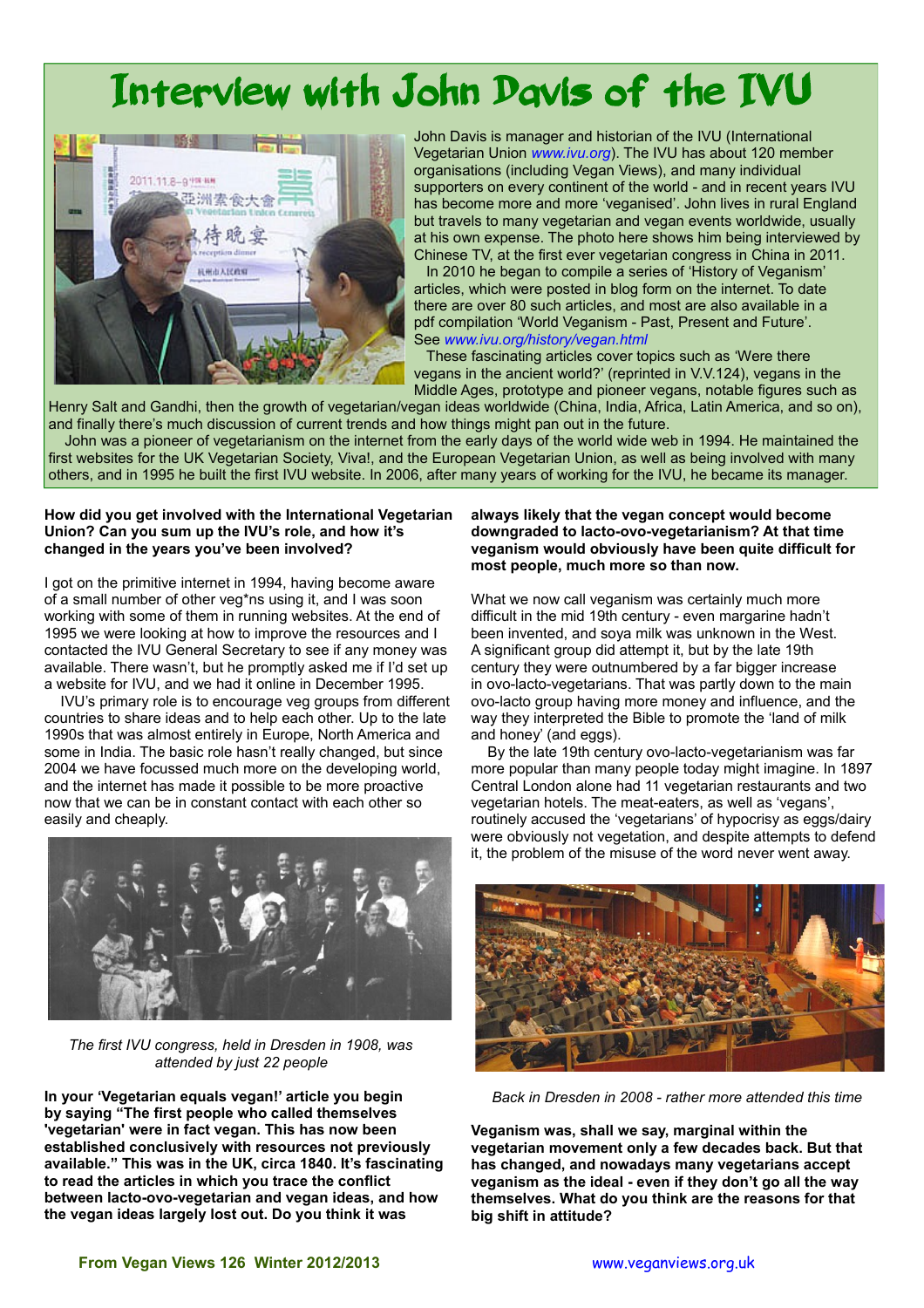## Interview with John Davis of the IVU



John Davis is manager and historian of the IVU (International Vegetarian Union *[www.ivu.org](http://www.ivu.org/)*). The IVU has about 120 member organisations (including Vegan Views), and many individual supporters on every continent of the world - and in recent years IVU has become more and more 'veganised'. John lives in rural England but travels to many vegetarian and vegan events worldwide, usually at his own expense. The photo here shows him being interviewed by Chinese TV, at the first ever vegetarian congress in China in 2011. In 2010 he began to compile a series of 'History of Veganism' articles, which were posted in blog form on the internet. To date there are over 80 such articles, and most are also available in a pdf compilation 'World Veganism - Past, Present and Future'. See *[www.ivu.org/history/vegan.html](http://www.ivu.org/history/vegan.html)*

These fascinating articles cover topics such as 'Were there vegans in the ancient world?' (reprinted in V.V.124), vegans in the Middle Ages, prototype and pioneer vegans, notable figures such as

Henry Salt and Gandhi, then the growth of vegetarian/vegan ideas worldwide (China, India, Africa, Latin America, and so on), and finally there's much discussion of current trends and how things might pan out in the future.

John was a pioneer of vegetarianism on the internet from the early days of the world wide web in 1994. He maintained the first websites for the UK Vegetarian Society, Viva!, and the European Vegetarian Union, as well as being involved with many others, and in 1995 he built the first IVU website. In 2006, after many years of working for the IVU, he became its manager.

## **How did you get involved with the International Vegetarian Union? Can you sum up the IVU's role, and how it's changed in the years you've been involved?**

I got on the primitive internet in 1994, having become aware of a small number of other veg\*ns using it, and I was soon working with some of them in running websites. At the end of 1995 we were looking at how to improve the resources and I contacted the IVU General Secretary to see if any money was available. There wasn't, but he promptly asked me if I'd set up a website for IVU, and we had it online in December 1995.

 IVU's primary role is to encourage veg groups from different countries to share ideas and to help each other. Up to the late 1990s that was almost entirely in Europe, North America and some in India. The basic role hasn't really changed, but since 2004 we have focussed much more on the developing world, and the internet has made it possible to be more proactive now that we can be in constant contact with each other so easily and cheaply.



 *The first IVU congress, held in Dresden in 1908, was attended by just 22 people*

**In your 'Vegetarian equals vegan!' article you begin by saying "The first people who called themselves 'vegetarian' were in fact vegan. This has now been established conclusively with resources not previously available." This was in the UK, circa 1840. It's fascinating to read the articles in which you trace the conflict between lacto-ovo-vegetarian and vegan ideas, and how the vegan ideas largely lost out. Do you think it was** 

## **always likely that the vegan concept would become downgraded to lacto-ovo-vegetarianism? At that time veganism would obviously have been quite difficult for most people, much more so than now.**

What we now call veganism was certainly much more difficult in the mid 19th century - even margarine hadn't been invented, and soya milk was unknown in the West. A significant group did attempt it, but by the late 19th century they were outnumbered by a far bigger increase in ovo-lacto-vegetarians. That was partly down to the main ovo-lacto group having more money and influence, and the way they interpreted the Bible to promote the 'land of milk and honey' (and eggs).

 By the late 19th century ovo-lacto-vegetarianism was far more popular than many people today might imagine. In 1897 Central London alone had 11 vegetarian restaurants and two vegetarian hotels. The meat-eaters, as well as 'vegans', routinely accused the 'vegetarians' of hypocrisy as eggs/dairy were obviously not vegetation, and despite attempts to defend it, the problem of the misuse of the word never went away.



*Back in Dresden in 2008 - rather more attended this time*

**Veganism was, shall we say, marginal within the vegetarian movement only a few decades back. But that has changed, and nowadays many vegetarians accept veganism as the ideal - even if they don't go all the way themselves. What do you think are the reasons for that big shift in attitude?**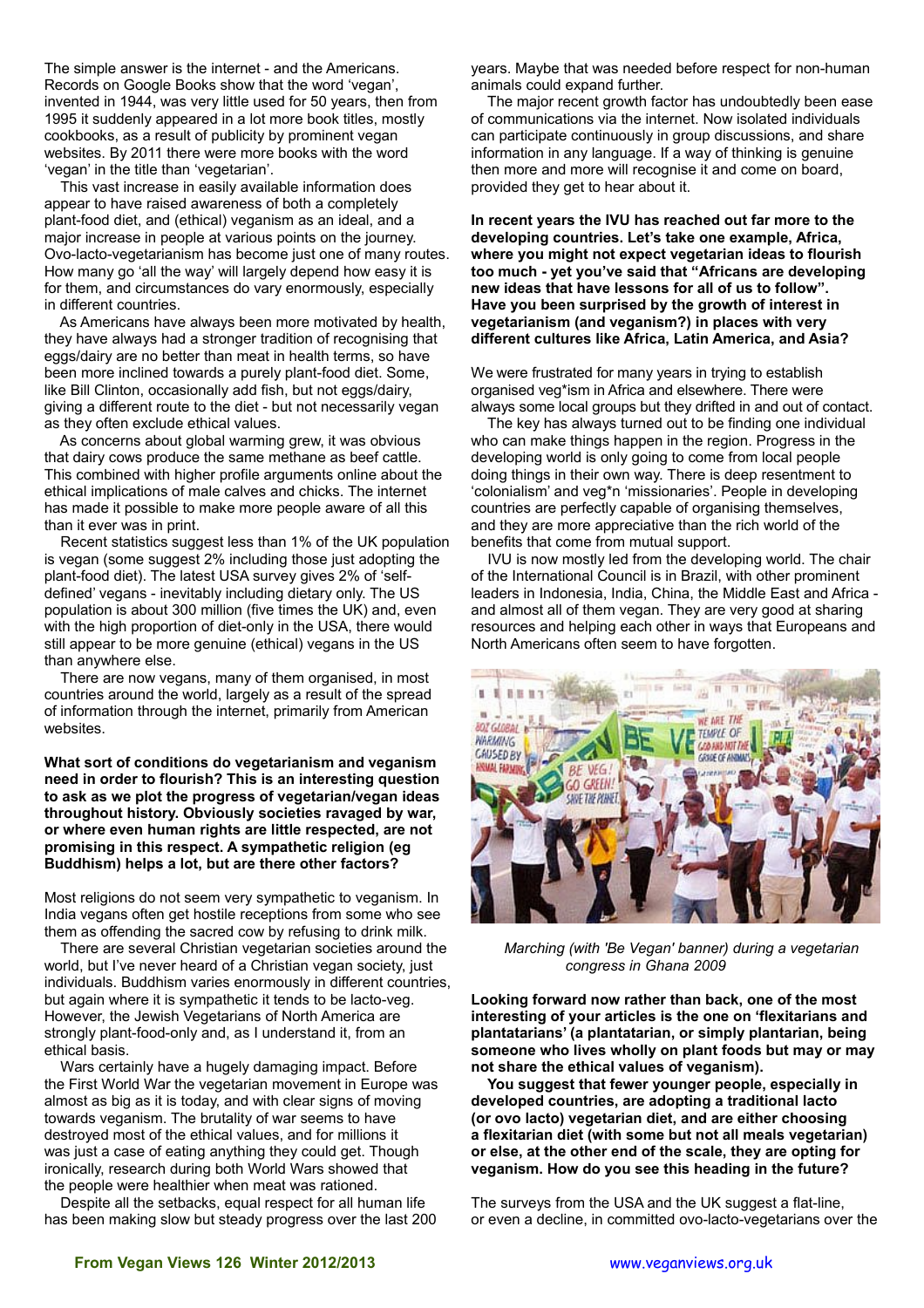The simple answer is the internet - and the Americans. Records on Google Books show that the word 'vegan', invented in 1944, was very little used for 50 years, then from 1995 it suddenly appeared in a lot more book titles, mostly cookbooks, as a result of publicity by prominent vegan websites. By 2011 there were more books with the word 'vegan' in the title than 'vegetarian'.

 This vast increase in easily available information does appear to have raised awareness of both a completely plant-food diet, and (ethical) veganism as an ideal, and a major increase in people at various points on the journey. Ovo-lacto-vegetarianism has become just one of many routes. How many go 'all the way' will largely depend how easy it is for them, and circumstances do vary enormously, especially in different countries.

 As Americans have always been more motivated by health, they have always had a stronger tradition of recognising that eggs/dairy are no better than meat in health terms, so have been more inclined towards a purely plant-food diet. Some, like Bill Clinton, occasionally add fish, but not eggs/dairy, giving a different route to the diet - but not necessarily vegan as they often exclude ethical values.

 As concerns about global warming grew, it was obvious that dairy cows produce the same methane as beef cattle. This combined with higher profile arguments online about the ethical implications of male calves and chicks. The internet has made it possible to make more people aware of all this than it ever was in print.

 Recent statistics suggest less than 1% of the UK population is vegan (some suggest 2% including those just adopting the plant-food diet). The latest USA survey gives 2% of 'selfdefined' vegans - inevitably including dietary only. The US population is about 300 million (five times the UK) and, even with the high proportion of diet-only in the USA, there would still appear to be more genuine (ethical) vegans in the US than anywhere else.

 There are now vegans, many of them organised, in most countries around the world, largely as a result of the spread of information through the internet, primarily from American websites.

**What sort of conditions do vegetarianism and veganism need in order to flourish? This is an interesting question to ask as we plot the progress of vegetarian/vegan ideas throughout history. Obviously societies ravaged by war, or where even human rights are little respected, are not promising in this respect. A sympathetic religion (eg Buddhism) helps a lot, but are there other factors?**

Most religions do not seem very sympathetic to veganism. In India vegans often get hostile receptions from some who see them as offending the sacred cow by refusing to drink milk.

 There are several Christian vegetarian societies around the world, but I've never heard of a Christian vegan society, just individuals. Buddhism varies enormously in different countries, but again where it is sympathetic it tends to be lacto-veg. However, the Jewish Vegetarians of North America are strongly plant-food-only and, as I understand it, from an ethical basis.

 Wars certainly have a hugely damaging impact. Before the First World War the vegetarian movement in Europe was almost as big as it is today, and with clear signs of moving towards veganism. The brutality of war seems to have destroyed most of the ethical values, and for millions it was just a case of eating anything they could get. Though ironically, research during both World Wars showed that the people were healthier when meat was rationed.

 Despite all the setbacks, equal respect for all human life has been making slow but steady progress over the last 200 years. Maybe that was needed before respect for non-human animals could expand further.

 The major recent growth factor has undoubtedly been ease of communications via the internet. Now isolated individuals can participate continuously in group discussions, and share information in any language. If a way of thinking is genuine then more and more will recognise it and come on board, provided they get to hear about it.

**In recent years the IVU has reached out far more to the developing countries. Let's take one example, Africa, where you might not expect vegetarian ideas to flourish too much - yet you've said that "Africans are developing new ideas that have lessons for all of us to follow". Have you been surprised by the growth of interest in vegetarianism (and veganism?) in places with very different cultures like Africa, Latin America, and Asia?**

We were frustrated for many years in trying to establish organised veg\*ism in Africa and elsewhere. There were always some local groups but they drifted in and out of contact.

 The key has always turned out to be finding one individual who can make things happen in the region. Progress in the developing world is only going to come from local people doing things in their own way. There is deep resentment to 'colonialism' and veg\*n 'missionaries'. People in developing countries are perfectly capable of organising themselves, and they are more appreciative than the rich world of the benefits that come from mutual support.

 IVU is now mostly led from the developing world. The chair of the International Council is in Brazil, with other prominent leaders in Indonesia, India, China, the Middle East and Africa and almost all of them vegan. They are very good at sharing resources and helping each other in ways that Europeans and North Americans often seem to have forgotten.



*Marching (with 'Be Vegan' banner) during a vegetarian congress in Ghana 2009*

**Looking forward now rather than back, one of the most interesting of your articles is the one on 'flexitarians and plantatarians' (a plantatarian, or simply plantarian, being someone who lives wholly on plant foods but may or may not share the ethical values of veganism).**

 **You suggest that fewer younger people, especially in developed countries, are adopting a traditional lacto (or ovo lacto) vegetarian diet, and are either choosing a flexitarian diet (with some but not all meals vegetarian) or else, at the other end of the scale, they are opting for veganism. How do you see this heading in the future?**

The surveys from the USA and the UK suggest a flat-line, or even a decline, in committed ovo-lacto-vegetarians over the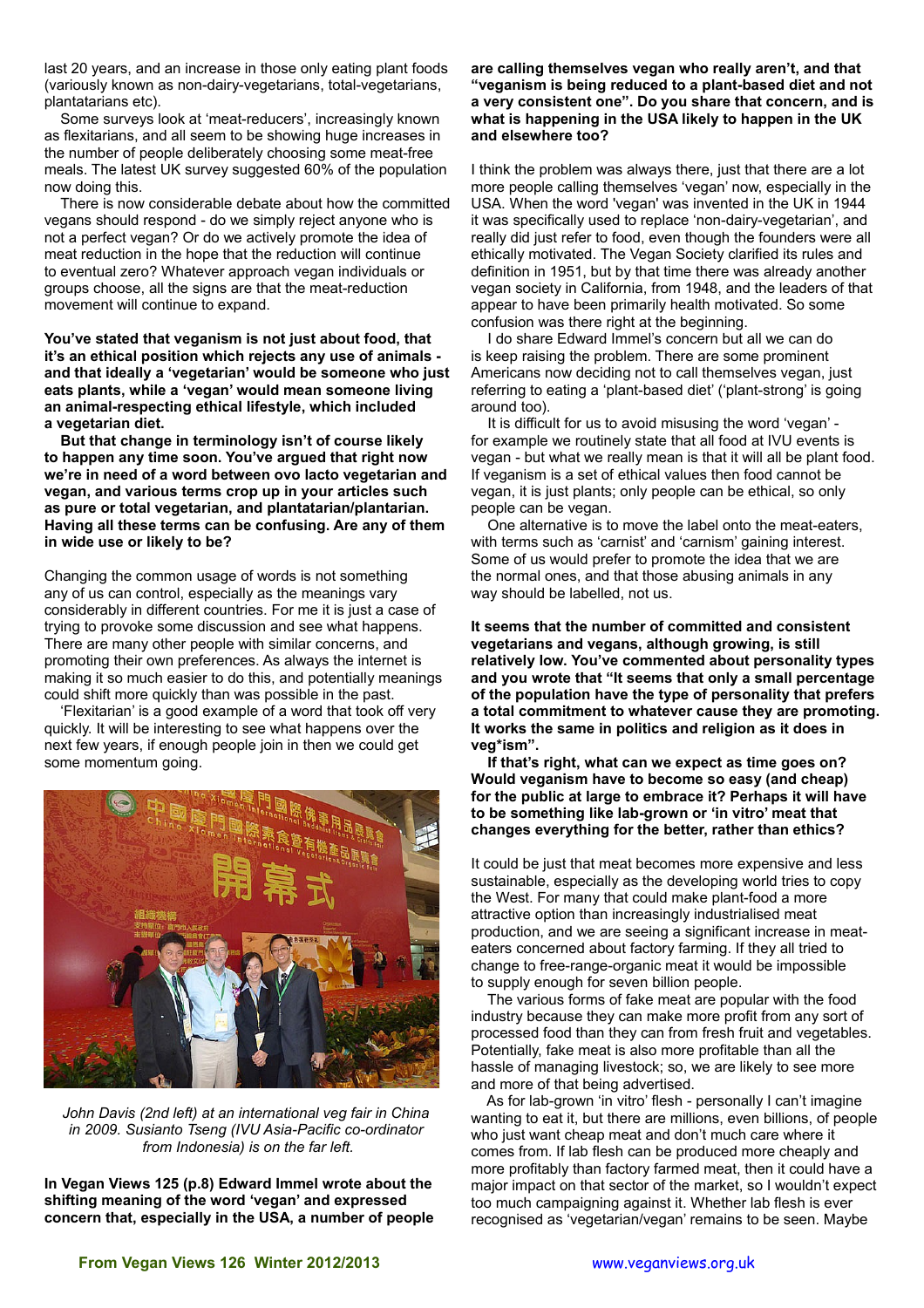last 20 years, and an increase in those only eating plant foods (variously known as non-dairy-vegetarians, total-vegetarians, plantatarians etc).

 Some surveys look at 'meat-reducers', increasingly known as flexitarians, and all seem to be showing huge increases in the number of people deliberately choosing some meat-free meals. The latest UK survey suggested 60% of the population now doing this.

 There is now considerable debate about how the committed vegans should respond - do we simply reject anyone who is not a perfect vegan? Or do we actively promote the idea of meat reduction in the hope that the reduction will continue to eventual zero? Whatever approach vegan individuals or groups choose, all the signs are that the meat-reduction movement will continue to expand.

**You've stated that veganism is not just about food, that it's an ethical position which rejects any use of animals and that ideally a 'vegetarian' would be someone who just eats plants, while a 'vegan' would mean someone living an animal-respecting ethical lifestyle, which included a vegetarian diet.**

 **But that change in terminology isn't of course likely to happen any time soon. You've argued that right now we're in need of a word between ovo lacto vegetarian and vegan, and various terms crop up in your articles such as pure or total vegetarian, and plantatarian/plantarian. Having all these terms can be confusing. Are any of them in wide use or likely to be?**

Changing the common usage of words is not something any of us can control, especially as the meanings vary considerably in different countries. For me it is just a case of trying to provoke some discussion and see what happens. There are many other people with similar concerns, and promoting their own preferences. As always the internet is making it so much easier to do this, and potentially meanings could shift more quickly than was possible in the past.

 'Flexitarian' is a good example of a word that took off very quickly. It will be interesting to see what happens over the next few years, if enough people join in then we could get some momentum going.



*John Davis (2nd left) at an international veg fair in China in 2009. Susianto Tseng (IVU Asia-Pacific co-ordinator from Indonesia) is on the far left.*

**In Vegan Views 125 (p.8) Edward Immel wrote about the shifting meaning of the word 'vegan' and expressed concern that, especially in the USA, a number of people**  **are calling themselves vegan who really aren't, and that "veganism is being reduced to a plant-based diet and not a very consistent one". Do you share that concern, and is what is happening in the USA likely to happen in the UK and elsewhere too?**

I think the problem was always there, just that there are a lot more people calling themselves 'vegan' now, especially in the USA. When the word 'vegan' was invented in the UK in 1944 it was specifically used to replace 'non-dairy-vegetarian', and really did just refer to food, even though the founders were all ethically motivated. The Vegan Society clarified its rules and definition in 1951, but by that time there was already another vegan society in California, from 1948, and the leaders of that appear to have been primarily health motivated. So some confusion was there right at the beginning.

 I do share Edward Immel's concern but all we can do is keep raising the problem. There are some prominent Americans now deciding not to call themselves vegan, just referring to eating a 'plant-based diet' ('plant-strong' is going around too).

 It is difficult for us to avoid misusing the word 'vegan' for example we routinely state that all food at IVU events is vegan - but what we really mean is that it will all be plant food. If veganism is a set of ethical values then food cannot be vegan, it is just plants; only people can be ethical, so only people can be vegan.

 One alternative is to move the label onto the meat-eaters, with terms such as 'carnist' and 'carnism' gaining interest. Some of us would prefer to promote the idea that we are the normal ones, and that those abusing animals in any way should be labelled, not us.

**It seems that the number of committed and consistent vegetarians and vegans, although growing, is still relatively low. You've commented about personality types and you wrote that "It seems that only a small percentage of the population have the type of personality that prefers a total commitment to whatever cause they are promoting. It works the same in politics and religion as it does in veg\*ism".**

 **If that's right, what can we expect as time goes on? Would veganism have to become so easy (and cheap) for the public at large to embrace it? Perhaps it will have to be something like lab-grown or 'in vitro' meat that changes everything for the better, rather than ethics?**

It could be just that meat becomes more expensive and less sustainable, especially as the developing world tries to copy the West. For many that could make plant-food a more attractive option than increasingly industrialised meat production, and we are seeing a significant increase in meateaters concerned about factory farming. If they all tried to change to free-range-organic meat it would be impossible to supply enough for seven billion people.

 The various forms of fake meat are popular with the food industry because they can make more profit from any sort of processed food than they can from fresh fruit and vegetables. Potentially, fake meat is also more profitable than all the hassle of managing livestock; so, we are likely to see more and more of that being advertised.

 As for lab-grown 'in vitro' flesh - personally I can't imagine wanting to eat it, but there are millions, even billions, of people who just want cheap meat and don't much care where it comes from. If lab flesh can be produced more cheaply and more profitably than factory farmed meat, then it could have a major impact on that sector of the market, so I wouldn't expect too much campaigning against it. Whether lab flesh is ever recognised as 'vegetarian/vegan' remains to be seen. Maybe